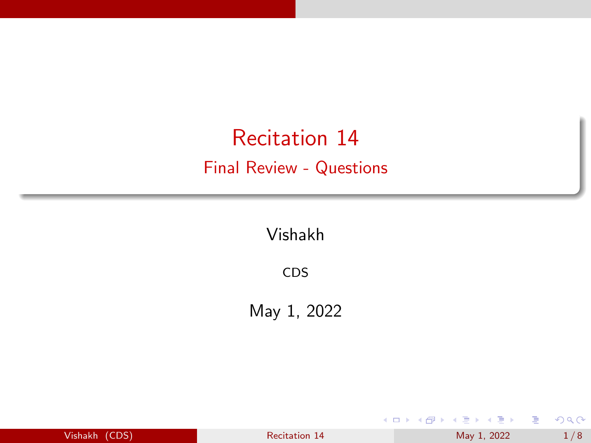# <span id="page-0-0"></span>Recitation 14 Final Review - Questions

Vishakh

CDS

May 1, 2022

| Vishakh (CDS) |  |  |
|---------------|--|--|
|               |  |  |
|               |  |  |

 $\frac{1}{8}$  [Recitation 14](#page-7-0) May 1, 2022 1/8

イロト イ部 トイヨ トイヨト

É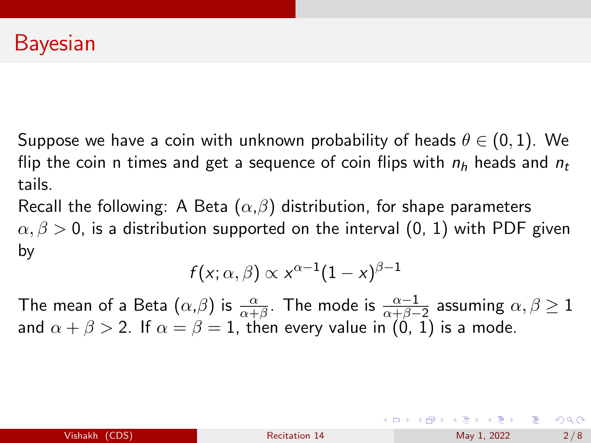Suppose we have a coin with unknown probability of heads  $\theta \in (0,1)$ . We flip the coin n times and get a sequence of coin flips with  $n_h$  heads and  $n_t$ tails.

Recall the following: A Beta  $(\alpha,\beta)$  distribution, for shape parameters  $\alpha, \beta > 0$ , is a distribution supported on the interval (0, 1) with PDF given by

$$
f(x;\alpha,\beta) \propto x^{\alpha-1}(1-x)^{\beta-1}
$$

The mean of a Beta  $(\alpha,\beta)$  is  $\frac{\alpha}{\alpha+\beta}$ . The mode is  $\frac{\alpha-1}{\alpha+\beta-2}$  assuming  $\alpha,\beta\geq 1$ and  $\alpha + \beta > 2$ . If  $\alpha = \beta = 1$ , then every value in (0, 1) is a mode.

イロト イ押 トイヨ トイヨ トーヨ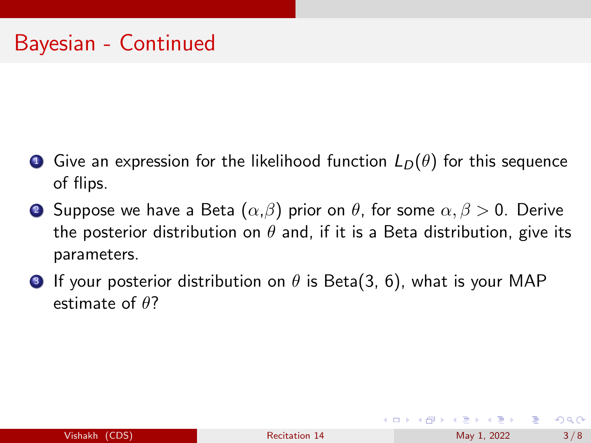- **•** Give an expression for the likelihood function  $L_D(\theta)$  for this sequence of flips.
- **2** Suppose we have a Beta  $(\alpha, \beta)$  prior on  $\theta$ , for some  $\alpha, \beta > 0$ . Derive the posterior distribution on  $\theta$  and, if it is a Beta distribution, give its parameters.
- **3** If your posterior distribution on  $\theta$  is Beta(3, 6), what is your MAP estimate of  $\theta$ ?

 $QQQ$ 

∢ ロ ▶ ( 御 ▶ ( 唐 ▶ ( 唐 ▶ )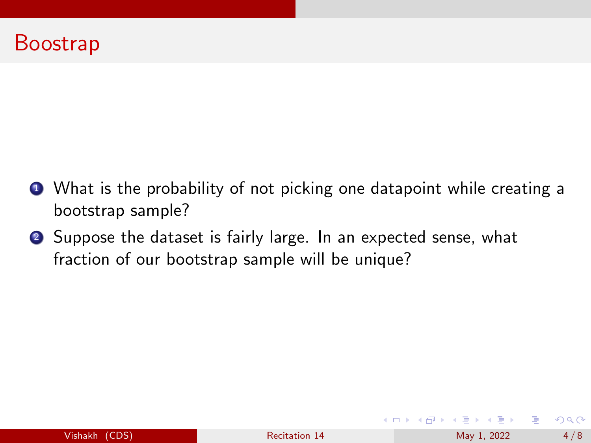### <span id="page-3-0"></span>Boostrap

- <sup>1</sup> What is the probability of not picking one datapoint while creating a bootstrap sample?
- **2** Suppose the dataset is fairly large. In an expected sense, what fraction of our bootstrap sample will be unique?

イロト イ押 トイヨ トイヨ トー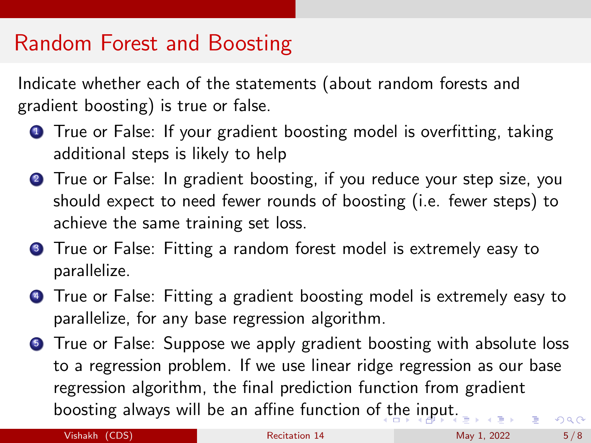## <span id="page-4-0"></span>Random Forest and Boosting

Indicate whether each of the statements (about random forests and gradient boosting) is true or false.

- **1** True or False: If your gradient boosting model is overfitting, taking additional steps is likely to help
- **2** True or False: In gradient boosting, if you reduce your step size, you should expect to need fewer rounds of boosting (i.e. fewer steps) to achieve the same training set loss.
- **3** True or False: Fitting a random forest model is extremely easy to parallelize.
- **4** True or False: Fitting a gradient boosting model is extremely easy to parallelize, for any base regression algorithm.
- **6** True or False: Suppose we apply gradient boosting with absolute loss to a regression problem. If we use linear ridge regression as our base regression algorithm, the final prediction function from gradient boosting always will be an affine function o[f t](#page-3-0)[he](#page-5-0) [i](#page-3-0)[np](#page-4-0)[u](#page-5-0)[t.](#page-0-0)  $QQ$

Vishakh (CDS) [Recitation 14](#page-0-0) May 1, 2022 5/8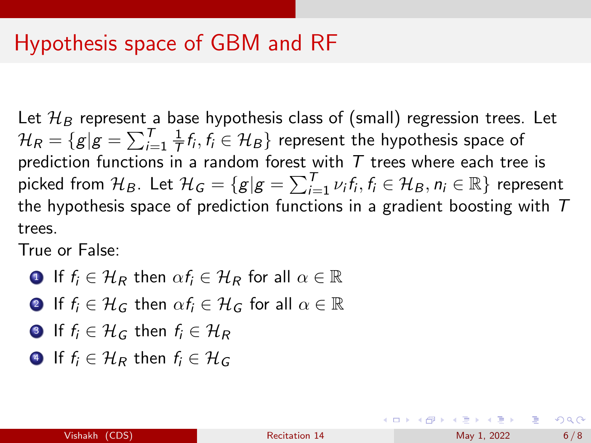### <span id="page-5-0"></span>Hypothesis space of GBM and RF

Let  $\mathcal{H}_B$  represent a base hypothesis class of (small) regression trees. Let  $\mathcal{H}_R = \{g | g = \sum_{i=1}^T \frac{1}{\overline{I}}\}$  $\frac{1}{\mathcal{T}}f_i,f_i\in\mathcal{H}_B\}$  represent the hypothesis space of prediction functions in a random forest with  $T$  trees where each tree is picked from  $\mathcal{H}_B$ . Let  $\mathcal{H}_G=\{g|g=\sum_{i=1}^T\nu_if_i,f_i\in\mathcal{H}_B,n_i\in\mathbb{R}\}$  represent the hypothesis space of prediction functions in a gradient boosting with  $T$ trees.

True or False:

- **1** If  $f_i \in \mathcal{H}_R$  then  $\alpha f_i \in \mathcal{H}_R$  for all  $\alpha \in \mathbb{R}$
- **2** If  $f_i \in \mathcal{H}_G$  then  $\alpha f_i \in \mathcal{H}_G$  for all  $\alpha \in \mathbb{R}$
- **3** If  $f_i \in \mathcal{H}_G$  then  $f_i \in \mathcal{H}_R$
- **4** If  $f_i \in \mathcal{H}_R$  then  $f_i \in \mathcal{H}_G$

←ロト イ母ト イヨト イヨトー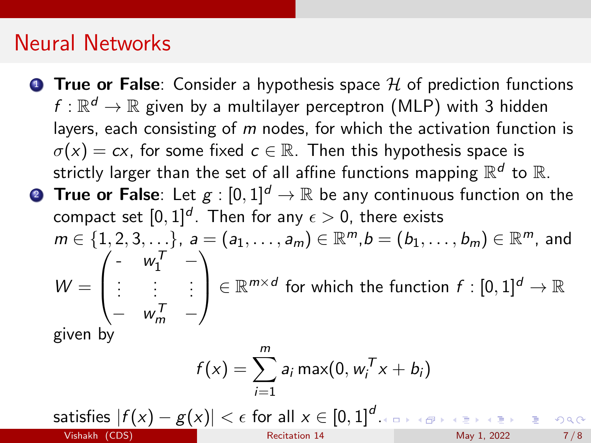### Neural Networks

**True or False**: Consider a hypothesis space  $H$  of prediction functions  $f:\mathbb{R}^d\rightarrow\mathbb{R}$  given by a multilayer perceptron (MLP) with 3 hidden layers, each consisting of  $m$  nodes, for which the activation function is  $\sigma(x) = cx$ , for some fixed  $c \in \mathbb{R}$ . Then this hypothesis space is strictly larger than the set of all affine functions mapping  $\mathbb{R}^d$  to  $\mathbb{R}.$ **2 True or False**: Let  $g:[0,1]^d \to \mathbb{R}$  be any continuous function on the compact set  $[0,1]^d.$  Then for any  $\epsilon>0,$  there exists

 $m\in\{1,2,3,\ldots\}$ ,  $a=(a_1,\ldots,a_m)\in\mathbb{R}^m$ , $b=(b_1,\ldots,b_m)\in\mathbb{R}^m$ , and  $W =$  $\sqrt{ }$  $\overline{ }$ -  $w_1^T$  – . . . . . . . . .  $w_m^T$   $\setminus$  $\mathcal{L} \in \mathbb{R}^{m \times d}$  for which the function  $f : [0,1]^d \to \mathbb{R}$ given by

$$
f(x) = \sum_{i=1}^{m} a_i \max(0, w_i^T x + b_i)
$$

satisfies  $|f(x)-g(x)|<\epsilon$  for all  $x\in [0,1]^d$ [.](#page-5-0) Vishakh (CDS) [Recitation 14](#page-0-0) May 1, 2022 7/8